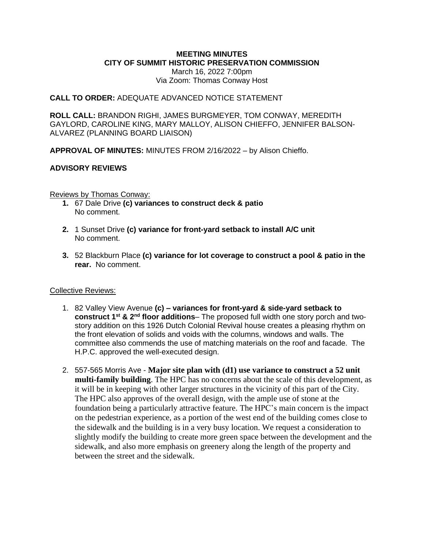# **MEETING MINUTES CITY OF SUMMIT HISTORIC PRESERVATION COMMISSION**

March 16, 2022 7:00pm Via Zoom: Thomas Conway Host

#### **CALL TO ORDER:** ADEQUATE ADVANCED NOTICE STATEMENT

**ROLL CALL:** BRANDON RIGHI, JAMES BURGMEYER, TOM CONWAY, MEREDITH GAYLORD, CAROLINE KING, MARY MALLOY, ALISON CHIEFFO, JENNIFER BALSON-ALVAREZ (PLANNING BOARD LIAISON)

**APPROVAL OF MINUTES:** MINUTES FROM 2/16/2022 – by Alison Chieffo.

### **ADVISORY REVIEWS**

Reviews by Thomas Conway:

- **1.** 67 Dale Drive **(c) variances to construct deck & patio** No comment.
- **2.** 1 Sunset Drive **(c) variance for front-yard setback to install A/C unit** No comment.
- **3.** 52 Blackburn Place **(c) variance for lot coverage to construct a pool & patio in the rear.** No comment.

#### Collective Reviews:

- 1. 82 Valley View Avenue **(c) – variances for front-yard & side-yard setback to construct 1<sup>st</sup> & 2<sup>nd</sup> floor additions– The proposed full width one story porch and two**story addition on this 1926 Dutch Colonial Revival house creates a pleasing rhythm on the front elevation of solids and voids with the columns, windows and walls. The committee also commends the use of matching materials on the roof and facade. The H.P.C. approved the well-executed design.
- 2. 557-565 Morris Ave **Major site plan with (d1) use variance to construct a 52 unit multi-family building**. The HPC has no concerns about the scale of this development, as it will be in keeping with other larger structures in the vicinity of this part of the City. The HPC also approves of the overall design, with the ample use of stone at the foundation being a particularly attractive feature. The HPC's main concern is the impact on the pedestrian experience, as a portion of the west end of the building comes close to the sidewalk and the building is in a very busy location. We request a consideration to slightly modify the building to create more green space between the development and the sidewalk, and also more emphasis on greenery along the length of the property and between the street and the sidewalk.